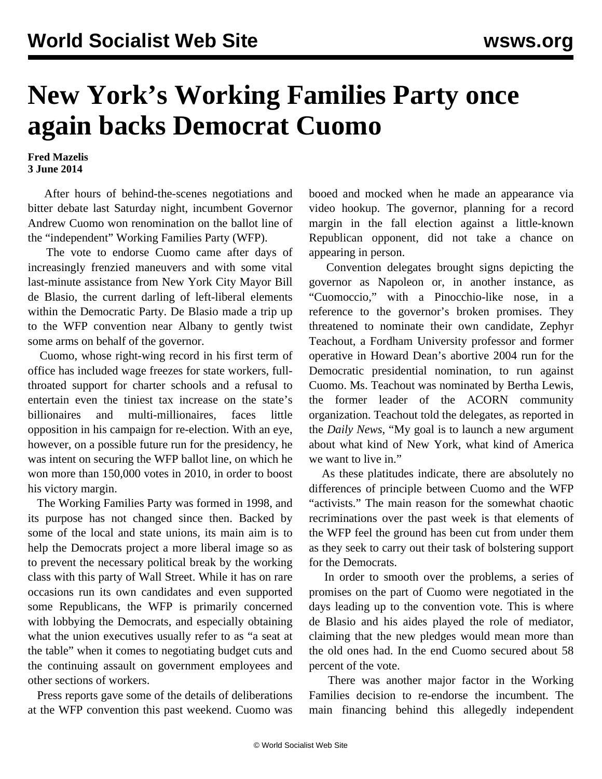## **New York's Working Families Party once again backs Democrat Cuomo**

## **Fred Mazelis 3 June 2014**

 After hours of behind-the-scenes negotiations and bitter debate last Saturday night, incumbent Governor Andrew Cuomo won renomination on the ballot line of the "independent" Working Families Party (WFP).

 The vote to endorse Cuomo came after days of increasingly frenzied maneuvers and with some vital last-minute assistance from New York City Mayor Bill de Blasio, the current darling of left-liberal elements within the Democratic Party. De Blasio made a trip up to the WFP convention near Albany to gently twist some arms on behalf of the governor.

 Cuomo, whose [right-wing record](/en/articles/2014/04/15/cuom-a15.html) in his first term of office has included wage freezes for state workers, fullthroated support for charter schools and a refusal to entertain even the tiniest tax increase on the state's billionaires and multi-millionaires, faces little opposition in his campaign for re-election. With an eye, however, on a possible future run for the presidency, he was intent on securing the WFP ballot line, on which he won more than 150,000 votes in 2010, in order to boost his victory margin.

 The Working Families Party was formed in 1998, and its purpose has not changed since then. Backed by some of the local and state unions, [its main aim is to](/en/articles/2002/06/wfp-j03.html) [help the Democrats](/en/articles/2002/06/wfp-j03.html) project a more liberal image so as to prevent the necessary political break by the working class with this party of Wall Street. While it has on rare occasions run its own candidates and even supported some Republicans, the WFP is primarily concerned with lobbying the Democrats, and especially obtaining what the union executives usually refer to as "a seat at the table" when it comes to negotiating budget cuts and the continuing assault on government employees and other sections of workers.

 Press reports gave some of the details of deliberations at the WFP convention this past weekend. Cuomo was booed and mocked when he made an appearance via video hookup. The governor, planning for a record margin in the fall election against a little-known Republican opponent, did not take a chance on appearing in person.

 Convention delegates brought signs depicting the governor as Napoleon or, in another instance, as "Cuomoccio," with a Pinocchio-like nose, in a reference to the governor's broken promises. They threatened to nominate their own candidate, Zephyr Teachout, a Fordham University professor and former operative in Howard Dean's abortive 2004 run for the Democratic presidential nomination, to run against Cuomo. Ms. Teachout was nominated by Bertha Lewis, the former leader of the ACORN community organization. Teachout told the delegates, as reported in the *Daily News*, "My goal is to launch a new argument about what kind of New York, what kind of America we want to live in."

 As these platitudes indicate, there are absolutely no differences of principle between Cuomo and the WFP "activists." The main reason for the somewhat chaotic recriminations over the past week is that elements of the WFP feel the ground has been cut from under them as they seek to carry out their task of bolstering support for the Democrats.

 In order to smooth over the problems, a series of promises on the part of Cuomo were negotiated in the days leading up to the convention vote. This is where de Blasio and his aides played the role of mediator, claiming that the new pledges would mean more than the old ones had. In the end Cuomo secured about 58 percent of the vote.

 There was another major factor in the Working Families decision to re-endorse the incumbent. The main financing behind this allegedly independent